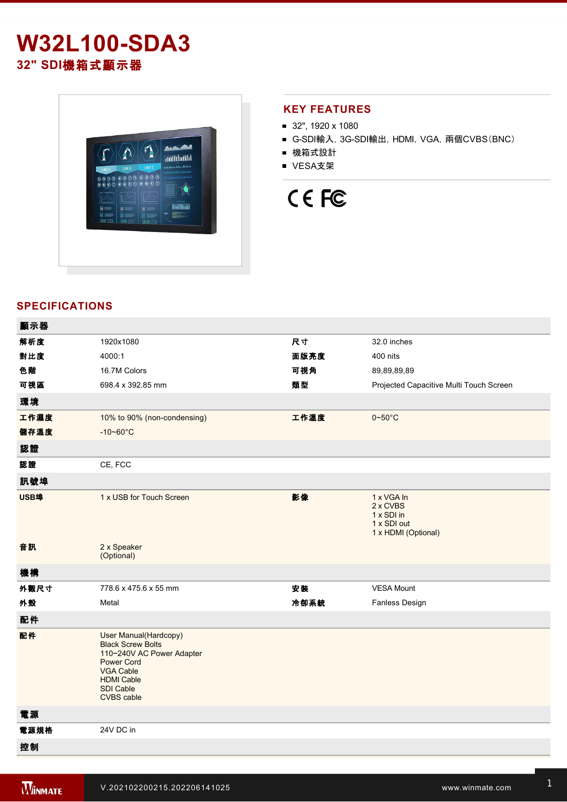# **W32L100-SDA3 32" SDI**機箱式顯示器



### **KEY FEATURES**

- 32", 1920 x 1080
- G-SDI輸入, 3G-SDI輸出, HDMI, VGA, 兩個CVBS(BNC)
- 機箱式設計
- VESA支架

# CE FC

### **SPECIFICATIONS**

| 顯示器  |                                                                                                                                                                                               |      |                                                                            |
|------|-----------------------------------------------------------------------------------------------------------------------------------------------------------------------------------------------|------|----------------------------------------------------------------------------|
| 解析度  | 1920x1080                                                                                                                                                                                     | 尺寸   | 32.0 inches                                                                |
| 對比度  | 4000:1                                                                                                                                                                                        | 面版亮度 | 400 nits                                                                   |
| 色階   | 16.7M Colors                                                                                                                                                                                  | 可視角  | 89,89,89,89                                                                |
| 可視區  | 698.4 x 392.85 mm                                                                                                                                                                             | 類型   | Projected Capacitive Multi Touch Screen                                    |
| 環境   |                                                                                                                                                                                               |      |                                                                            |
| 工作濕度 | 10% to 90% (non-condensing)                                                                                                                                                                   | 工作溫度 | $0 - 50^{\circ}$ C                                                         |
| 儲存溫度 | $-10 - 60^{\circ}C$                                                                                                                                                                           |      |                                                                            |
| 認證   |                                                                                                                                                                                               |      |                                                                            |
| 認證   | CE, FCC                                                                                                                                                                                       |      |                                                                            |
| 訊號埠  |                                                                                                                                                                                               |      |                                                                            |
| USB埠 | 1 x USB for Touch Screen                                                                                                                                                                      | 影像   | 1 x VGA In<br>2 x CVBS<br>1 x SDI in<br>1 x SDI out<br>1 x HDMI (Optional) |
| 音訊   | 2 x Speaker<br>(Optional)                                                                                                                                                                     |      |                                                                            |
| 機構   |                                                                                                                                                                                               |      |                                                                            |
| 外觀尺寸 | 778.6 x 475.6 x 55 mm                                                                                                                                                                         | 安裝   | <b>VESA Mount</b>                                                          |
| 外殼   | Metal                                                                                                                                                                                         | 冷卻系統 | Fanless Design                                                             |
| 配件   |                                                                                                                                                                                               |      |                                                                            |
| 配件   | <b>User Manual</b> (Hardcopy)<br><b>Black Screw Bolts</b><br>110~240V AC Power Adapter<br><b>Power Cord</b><br><b>VGA Cable</b><br><b>HDMI Cable</b><br><b>SDI Cable</b><br><b>CVBS</b> cable |      |                                                                            |
| 電源   |                                                                                                                                                                                               |      |                                                                            |
| 電源規格 | 24V DC in                                                                                                                                                                                     |      |                                                                            |
| 控制   |                                                                                                                                                                                               |      |                                                                            |
|      |                                                                                                                                                                                               |      |                                                                            |

Power